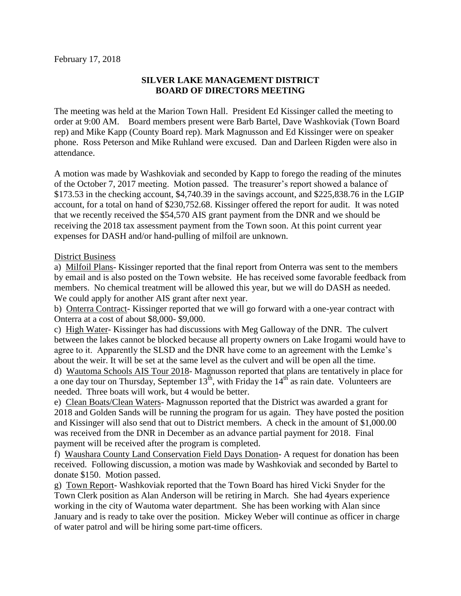## **SILVER LAKE MANAGEMENT DISTRICT BOARD OF DIRECTORS MEETING**

The meeting was held at the Marion Town Hall. President Ed Kissinger called the meeting to order at 9:00 AM. Board members present were Barb Bartel, Dave Washkoviak (Town Board rep) and Mike Kapp (County Board rep). Mark Magnusson and Ed Kissinger were on speaker phone. Ross Peterson and Mike Ruhland were excused. Dan and Darleen Rigden were also in attendance.

A motion was made by Washkoviak and seconded by Kapp to forego the reading of the minutes of the October 7, 2017 meeting. Motion passed. The treasurer's report showed a balance of \$173.53 in the checking account, \$4,740.39 in the savings account, and \$225,838.76 in the LGIP account, for a total on hand of \$230,752.68. Kissinger offered the report for audit. It was noted that we recently received the \$54,570 AIS grant payment from the DNR and we should be receiving the 2018 tax assessment payment from the Town soon. At this point current year expenses for DASH and/or hand-pulling of milfoil are unknown.

## District Business

a) Milfoil Plans- Kissinger reported that the final report from Onterra was sent to the members by email and is also posted on the Town website. He has received some favorable feedback from members. No chemical treatment will be allowed this year, but we will do DASH as needed. We could apply for another AIS grant after next year.

b) Onterra Contract- Kissinger reported that we will go forward with a one-year contract with Onterra at a cost of about \$8,000- \$9,000.

c) High Water- Kissinger has had discussions with Meg Galloway of the DNR. The culvert between the lakes cannot be blocked because all property owners on Lake Irogami would have to agree to it. Apparently the SLSD and the DNR have come to an agreement with the Lemke's about the weir. It will be set at the same level as the culvert and will be open all the time. d) Wautoma Schools AIS Tour 2018- Magnusson reported that plans are tentatively in place for a one day tour on Thursday, September  $13^{\text{th}}$ , with Friday the  $14^{\text{th}}$  as rain date. Volunteers are needed. Three boats will work, but 4 would be better.

e) Clean Boats/Clean Waters- Magnusson reported that the District was awarded a grant for 2018 and Golden Sands will be running the program for us again. They have posted the position and Kissinger will also send that out to District members. A check in the amount of \$1,000.00 was received from the DNR in December as an advance partial payment for 2018. Final payment will be received after the program is completed.

f) Waushara County Land Conservation Field Days Donation- A request for donation has been received. Following discussion, a motion was made by Washkoviak and seconded by Bartel to donate \$150. Motion passed.

g) Town Report- Washkoviak reported that the Town Board has hired Vicki Snyder for the Town Clerk position as Alan Anderson will be retiring in March. She had 4years experience working in the city of Wautoma water department. She has been working with Alan since January and is ready to take over the position. Mickey Weber will continue as officer in charge of water patrol and will be hiring some part-time officers.